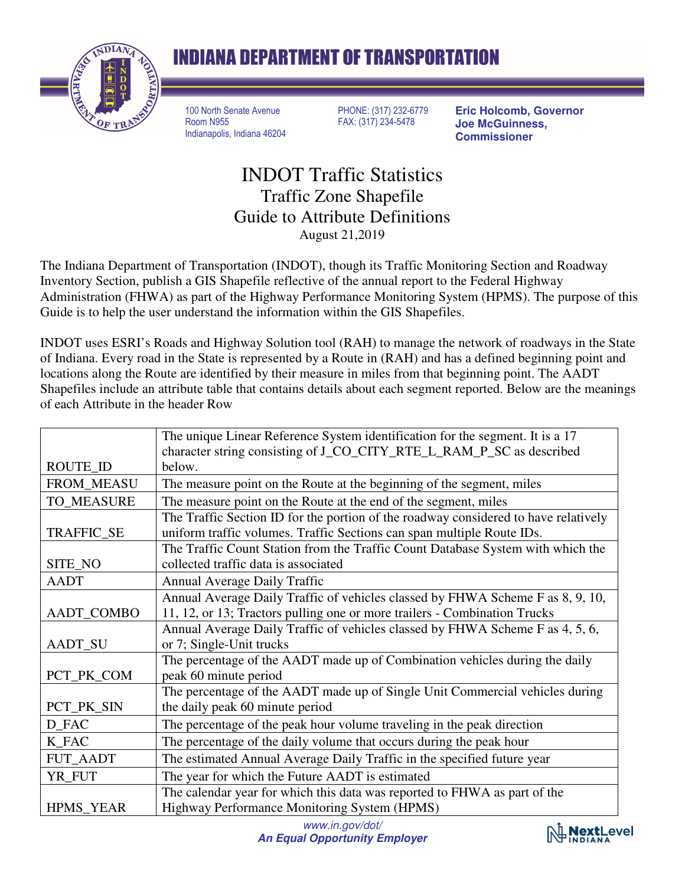

## **INDIANA DEPARTMENT OF TRANSPORTATION**

100 North Senate Avenue Room N955 Indianapolis, Indiana 46204 PHONE: (317) 232-6779 FAX: (317) 234-5478

**Eric Holcomb, Governor Joe McGuinness, Commissioner** 

## INDOT Traffic Statistics Traffic Zone Shapefile Guide to Attribute Definitions August 21,2019

The Indiana Department of Transportation (INDOT), though its Traffic Monitoring Section and Roadway Inventory Section, publish a GIS Shapefile reflective of the annual report to the Federal Highway Administration (FHWA) as part of the Highway Performance Monitoring System (HPMS). The purpose of this Guide is to help the user understand the information within the GIS Shapefiles.

INDOT uses ESRI's Roads and Highway Solution tool (RAH) to manage the network of roadways in the State of Indiana. Every road in the State is represented by a Route in (RAH) and has a defined beginning point and locations along the Route are identified by their measure in miles from that beginning point. The AADT Shapefiles include an attribute table that contains details about each segment reported. Below are the meanings of each Attribute in the header Row

|                  | The unique Linear Reference System identification for the segment. It is a 17<br>character string consisting of J_CO_CITY_RTE_L_RAM_P_SC as described |
|------------------|-------------------------------------------------------------------------------------------------------------------------------------------------------|
| ROUTE_ID         | below.                                                                                                                                                |
| FROM_MEASU       | The measure point on the Route at the beginning of the segment, miles                                                                                 |
| TO_MEASURE       | The measure point on the Route at the end of the segment, miles                                                                                       |
|                  | The Traffic Section ID for the portion of the roadway considered to have relatively                                                                   |
| TRAFFIC_SE       | uniform traffic volumes. Traffic Sections can span multiple Route IDs.                                                                                |
|                  | The Traffic Count Station from the Traffic Count Database System with which the                                                                       |
| SITE_NO          | collected traffic data is associated                                                                                                                  |
| <b>AADT</b>      | <b>Annual Average Daily Traffic</b>                                                                                                                   |
|                  | Annual Average Daily Traffic of vehicles classed by FHWA Scheme F as 8, 9, 10,                                                                        |
| AADT_COMBO       | 11, 12, or 13; Tractors pulling one or more trailers - Combination Trucks                                                                             |
|                  | Annual Average Daily Traffic of vehicles classed by FHWA Scheme F as 4, 5, 6,                                                                         |
| <b>AADT_SU</b>   | or 7; Single-Unit trucks                                                                                                                              |
|                  | The percentage of the AADT made up of Combination vehicles during the daily                                                                           |
| PCT_PK_COM       | peak 60 minute period                                                                                                                                 |
|                  | The percentage of the AADT made up of Single Unit Commercial vehicles during                                                                          |
| PCT_PK_SIN       | the daily peak 60 minute period                                                                                                                       |
| D_FAC            | The percentage of the peak hour volume traveling in the peak direction                                                                                |
| K_FAC            | The percentage of the daily volume that occurs during the peak hour                                                                                   |
| <b>FUT_AADT</b>  | The estimated Annual Average Daily Traffic in the specified future year                                                                               |
| YR_FUT           | The year for which the Future AADT is estimated                                                                                                       |
|                  | The calendar year for which this data was reported to FHWA as part of the                                                                             |
| <b>HPMS_YEAR</b> | Highway Performance Monitoring System (HPMS)                                                                                                          |